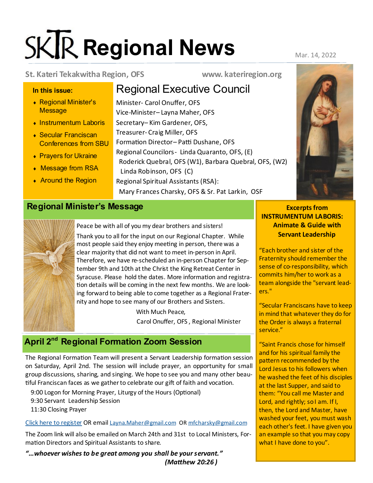# **SKR** Regional News Mar. 14, 2022

#### **St. Kateri Tekakwitha Region, OFS www. kateriregion.org**

#### **In this issue:**

- Regional Minister's **Message**
- ◆ Instrumentum Laboris
- ◆ Secular Franciscan Conferences from SBU
- ◆ Prayers for Ukraine
- Message from RSA
- ◆ Around the Region

 Linda Robinson, OFS (C) Regional Spiritual Assistants (RSA): Mary Frances Charsky, OFS & Sr. Pat Larkin, OSF

Roderick Quebral, OFS (W1), Barbara Quebral, OFS, (W2)

Regional Executive Council

Formation Director– Patti Dushane, OFS

Regional Councilors- Linda Quaranto, OFS, (E)

Minister- Carol Onuffer, OFS Vice-Minister– Layna Maher, OFS Secretary– Kim Gardener, OFS, Treasurer- Craig Miller, OFS

### **Regional Minister's Message Excerpts from <b>Excerpts** from



Peace be with all of you my dear brothers and sisters! Thank you to all for the input on our Regional Chapter. While most people said they enjoy meeting in person, there was a clear majority that did not want to meet in-person in April. Therefore, we have re-scheduled an in-person Chapter for September 9th and 10th at the Christ the King Retreat Center in Syracuse. Please hold the dates. More information and registration details will be coming in the next few months. We are looking forward to being able to come together as a Regional Fraternity and hope to see many of our Brothers and Sisters.

> With Much Peace, Carol Onuffer, OFS , Regional Minister

# **April 2nd Regional Formation Zoom Session**

The Regional Formation Team will present a Servant Leadership formation session on Saturday, April 2nd. The session will include prayer, an opportunity for small group discussions, sharing, and singing. We hope to see you and many other beautiful Franciscan faces as we gather to celebrate our gift of faith and vocation.

9:00 Logon for Morning Prayer, Liturgy of the Hours (Optional) 9:30 Servant Leadership Session 11:30 Closing Prayer

[Click here to register](https://forms.gle/Xf9B85HWscDYcMzW6) OR email [Layna.Maher@gmail.com](mailto:Layna.Maher@gmail.com) OR [mfcharsky@gmail.com](mailto:mfcharsky@gmail.com)

The Zoom link will also be emailed on March 24th and 31st to Local Ministers, Formation Directors and Spiritual Assistants to share.

*"…whoever wishes to be great among you shall be your servant." (Matthew 20:26 )*

**INSTRUMENTUM LABORIS: Animate & Guide with** 

**Servant Leadership**

"Each brother and sister of the Fraternity should remember the sense of co-responsibility, which commits him/her to work as a team alongside the "servant leaders."

"Secular Franciscans have to keep in mind that whatever they do for the Order is always a fraternal service."

"Saint Francis chose for himself and for his spiritual family the pattern recommended by the Lord Jesus to his followers when he washed the feet of his disciples at the last Supper, and said to them: "You call me Master and Lord, and rightly; so I am. If I, then, the Lord and Master, have washed your feet, you must wash each other's feet. I have given you an example so that you may copy what I have done to you".